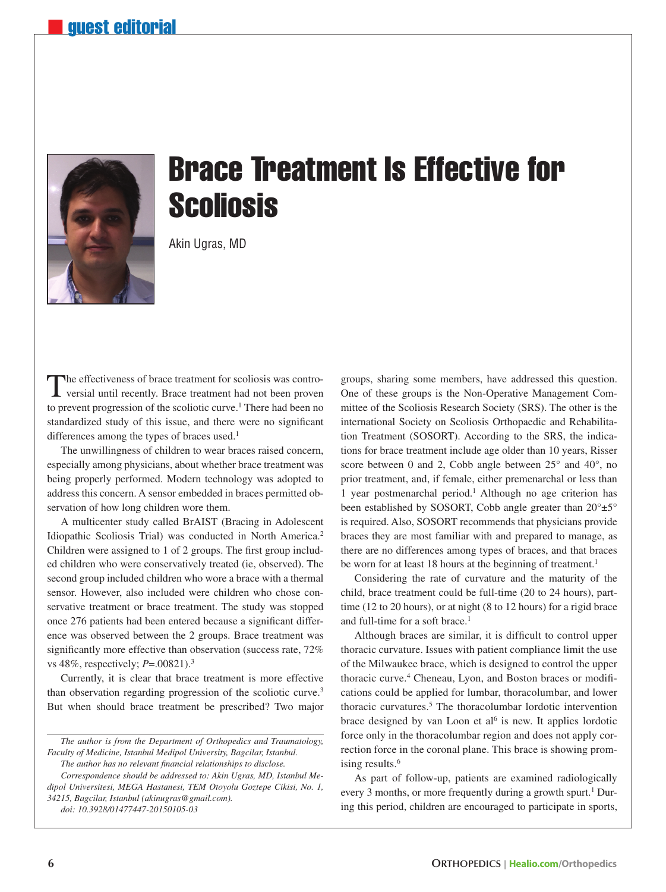

## Brace Treatment Is Effective for **Scoliosis**

Akin Ugras, MD

The effectiveness of brace treatment for scoliosis was contro-versial until recently. Brace treatment had not been proven to prevent progression of the scoliotic curve.<sup>1</sup> There had been no standardized study of this issue, and there were no significant differences among the types of braces used.<sup>1</sup>

The unwillingness of children to wear braces raised concern, especially among physicians, about whether brace treatment was being properly performed. Modern technology was adopted to address this concern. A sensor embedded in braces permitted observation of how long children wore them.

A multicenter study called BrAIST (Bracing in Adolescent Idiopathic Scoliosis Trial) was conducted in North America.2 Children were assigned to 1 of 2 groups. The first group included children who were conservatively treated (ie, observed). The second group included children who wore a brace with a thermal sensor. However, also included were children who chose conservative treatment or brace treatment. The study was stopped once 276 patients had been entered because a significant difference was observed between the 2 groups. Brace treatment was significantly more effective than observation (success rate, 72% vs 48%, respectively; *P*=.00821).3

Currently, it is clear that brace treatment is more effective than observation regarding progression of the scoliotic curve.3 But when should brace treatment be prescribed? Two major

*The author is from the Department of Orthopedics and Traumatology, Faculty of Medicine, Istanbul Medipol University, Bagcilar, Istanbul. The author has no relevant financial relationships to disclose.*

*Correspondence should be addressed to: Akin Ugras, MD, Istanbul Medipol Universitesi, MEGA Hastanesi, TEM Otoyolu Goztepe Cikisi, No. 1, 34215, Bagcilar, Istanbul (akinugras@gmail.com).*

*doi: 10.3928/01477447-20150105-03*

groups, sharing some members, have addressed this question. One of these groups is the Non-Operative Management Committee of the Scoliosis Research Society (SRS). The other is the international Society on Scoliosis Orthopaedic and Rehabilitation Treatment (SOSORT). According to the SRS, the indications for brace treatment include age older than 10 years, Risser score between 0 and 2, Cobb angle between 25° and 40°, no prior treatment, and, if female, either premenarchal or less than 1 year postmenarchal period.<sup>1</sup> Although no age criterion has been established by SOSORT, Cobb angle greater than 20°±5° is required. Also, SOSORT recommends that physicians provide braces they are most familiar with and prepared to manage, as there are no differences among types of braces, and that braces be worn for at least 18 hours at the beginning of treatment.<sup>1</sup>

Considering the rate of curvature and the maturity of the child, brace treatment could be full-time (20 to 24 hours), parttime (12 to 20 hours), or at night (8 to 12 hours) for a rigid brace and full-time for a soft brace.<sup>1</sup>

Although braces are similar, it is difficult to control upper thoracic curvature. Issues with patient compliance limit the use of the Milwaukee brace, which is designed to control the upper thoracic curve.<sup>4</sup> Cheneau, Lyon, and Boston braces or modifications could be applied for lumbar, thoracolumbar, and lower thoracic curvatures.<sup>5</sup> The thoracolumbar lordotic intervention brace designed by van Loon et al<sup>6</sup> is new. It applies lordotic force only in the thoracolumbar region and does not apply correction force in the coronal plane. This brace is showing promising results.<sup>6</sup>

As part of follow-up, patients are examined radiologically every 3 months, or more frequently during a growth spurt.<sup>1</sup> During this period, children are encouraged to participate in sports,